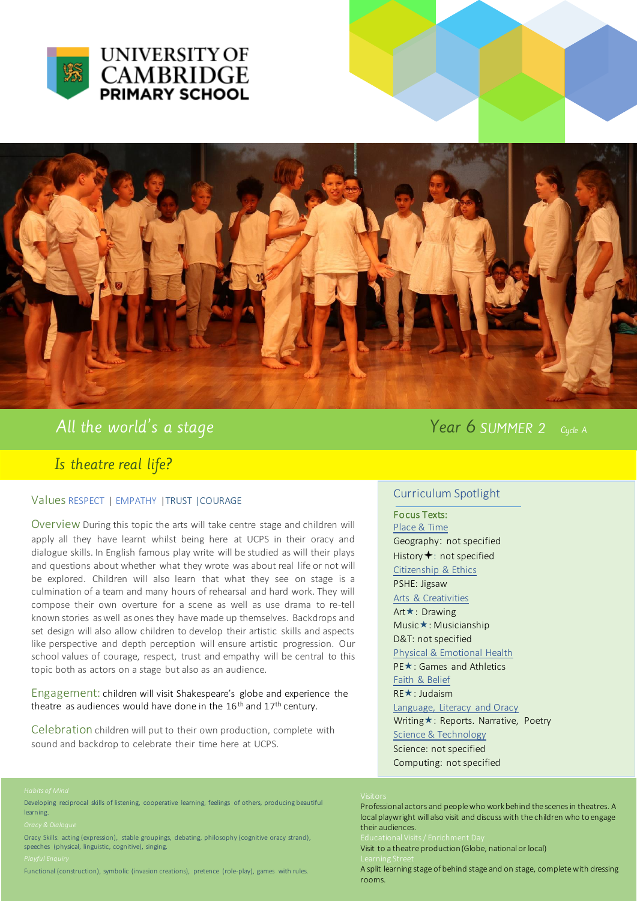



All the world's a stage

Is theatre real life?

## Values RESPECT | EMPATHY |TRUST |COURAGE

Overview During this topic the arts will take centre stage and children will apply all they have learnt whilst being here at UCPS in their oracy and dialogue skills. In English famous play write will be studied as will their plays and questions about whether what they wrote was about real life or not will be explored. Children will also learn that what they see on stage is a culmination of a team and many hours of rehearsal and hard work. They will compose their own overture for a scene as well as use drama to re-tell known stories as well as ones they have made up themselves. Backdrops and set design will also allow children to develop their artistic skills and aspects like perspective and depth perception will ensure artistic progression. Our school values of courage, respect, trust and empathy will be central to this topic both as actors on a stage but also as an audience.

### Engagement: children will visit Shakespeare's globe and experience the theatre as audiences would have done in the  $16<sup>th</sup>$  and  $17<sup>th</sup>$  century.

Celebration children will put to their own production, complete with sound and backdrop to celebrate their time here at UCPS.

### Year 6 SUMMER 2 Cucle A

# Curriculum Spotlight

Focus Texts: Place & Time Geography: not specified History  $\bigstar$ : not specified Citizenship & Ethics PSHE: Jigsaw Arts & Creativities Art **★**: Drawing Music \*: Musicianship D&T: not specified Physical & Emotional Health PE★: Games and Athletics Faith & Belief RE★: Judaism Language, Literacy and Oracy Writing \*: Reports. Narrative, Poetry Science & Technology Science: not specified Computing: not specified

Professional actors and people who work behind the scenes in theatres. A local playwright will also visit and discuss with the children who to engage their audiences. Visit to a theatre production (Globe, national or local)

A split learning stage of behind stage and on stage, complete with dressing rooms.

Bereidping resiprocar siting.<br>learning. Developing reciprocal skills of listening, cooperative learning, feelings of others, producing beautiful

oracy & Blangac<br>Oracy Skills: acting (expression), stable groupings, debating, philosophy (cognitive oracy strand), speeches (physical, linguistic, cognitive), singing.

Functional (construction), symbolic (invasion creations), pretence (role-play), games with rules.